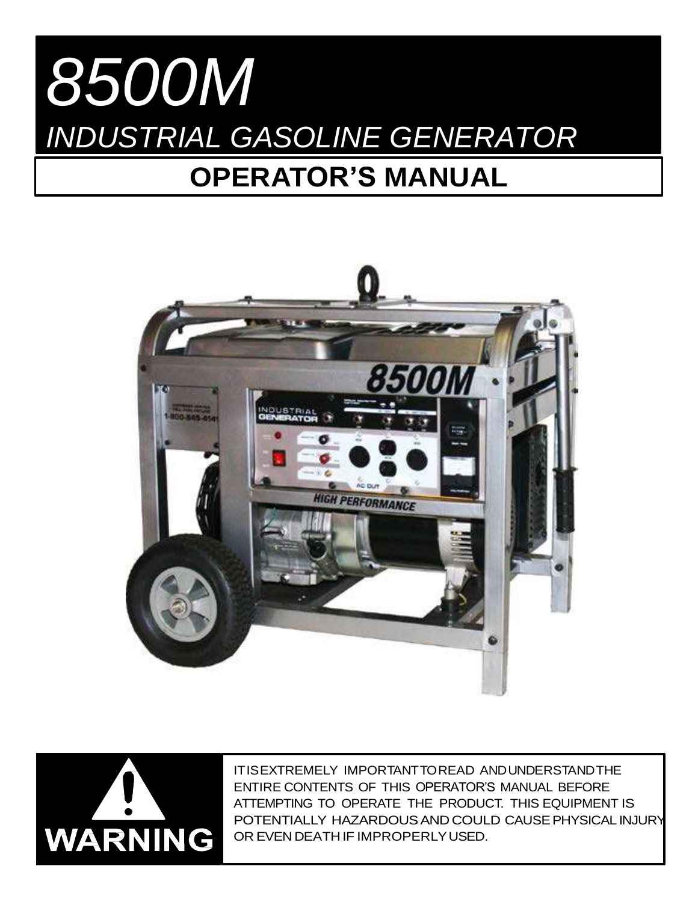# **OPERATOR'S MANUAL** *8500M INDUSTRIAL GASOLINE GENERATOR*





ITISEXTREMELY IMPORTANTTOREAD ANDUNDERSTANDTHE ENTIRE CONTENTS OF THIS OPERATOR'S MANUAL BEFORE ATTEMPTING TO OPERATE THE PRODUCT. THIS EQUIPMENT IS POTENTIALLY HAZARDOUS AND COULD CAUSE PHYSICAL INJURY OR EVEN DEATH IF IMPROPERLYUSED.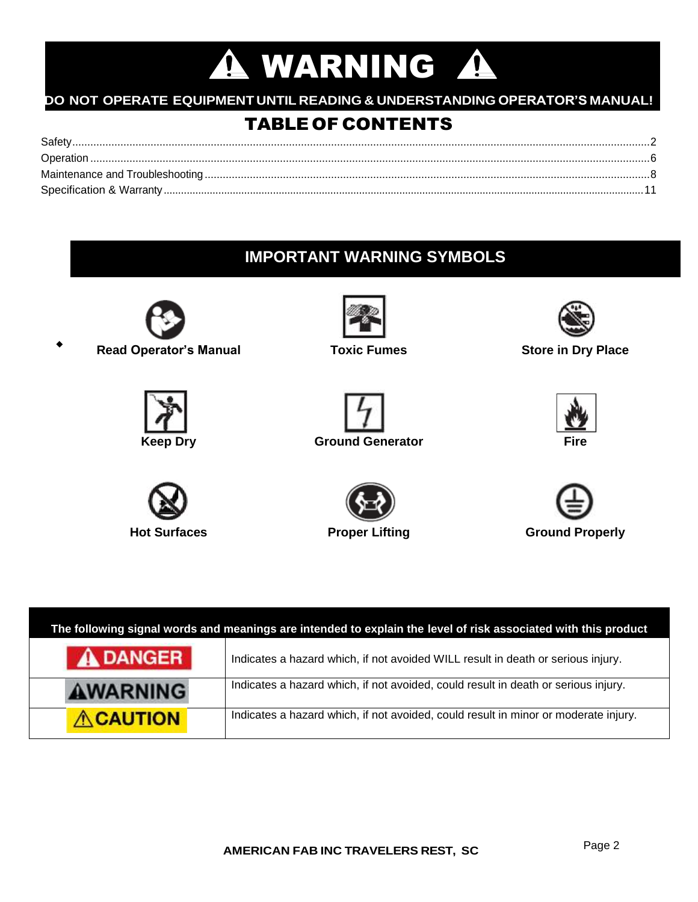# **A WARNING A**

### **DO NOT OPERATE EQUIPMENT UNTIL READING & UNDERSTANDING OPERATOR'S MANUAL!**

# TABLE OF CONTENTS

| Safety |  |
|--------|--|
|        |  |
|        |  |
|        |  |

# **IMPORTANT WARNING SYMBOLS**



**Read Operator's Manual Toxic Fumes Store in Dry Place**

















| The following signal words and meanings are intended to explain the level of risk associated with this product |                                                                                     |  |  |
|----------------------------------------------------------------------------------------------------------------|-------------------------------------------------------------------------------------|--|--|
| <b>A DANGER</b>                                                                                                | Indicates a hazard which, if not avoided WILL result in death or serious injury.    |  |  |
| <b>AWARNING</b>                                                                                                | Indicates a hazard which, if not avoided, could result in death or serious injury.  |  |  |
| <b>ACAUTION</b>                                                                                                | Indicates a hazard which, if not avoided, could result in minor or moderate injury. |  |  |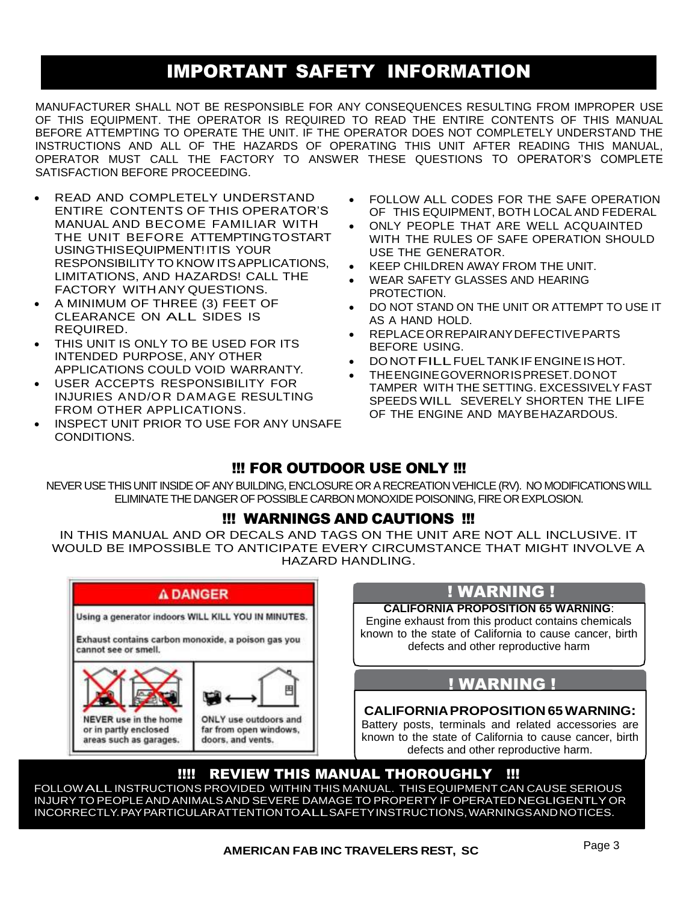# IMPORTANT SAFETY INFORMATION

MANUFACTURER SHALL NOT BE RESPONSIBLE FOR ANY CONSEQUENCES RESULTING FROM IMPROPER USE OF THIS EQUIPMENT. THE OPERATOR IS REQUIRED TO READ THE ENTIRE CONTENTS OF THIS MANUAL BEFORE ATTEMPTING TO OPERATE THE UNIT. IF THE OPERATOR DOES NOT COMPLETELY UNDERSTAND THE INSTRUCTIONS AND ALL OF THE HAZARDS OF OPERATING THIS UNIT AFTER READING THIS MANUAL, OPERATOR MUST CALL THE FACTORY TO ANSWER THESE QUESTIONS TO OPERATOR'S COMPLETE SATISFACTION BEFORE PROCEEDING.

- READ AND COMPLETELY UNDERSTAND ENTIRE CONTENTS OF THIS OPERATOR'S MANUAL AND BECOME FAMILIAR WITH THE UNIT BEFORE ATTEMPTINGTOSTART USINGTHISEQUIPMENT!ITIS YOUR RESPONSIBILITYTO KNOW ITSAPPLICATIONS, LIMITATIONS, AND HAZARDS! CALL THE FACTORY WITH ANY QUESTIONS.
- A MINIMUM OF THREE (3) FEET OF CLEARANCE ON ALL SIDES IS REQUIRED.
- THIS UNIT IS ONLY TO BE USED FOR ITS INTENDED PURPOSE, ANY OTHER APPLICATIONS COULD VOID WARRANTY.
- USER ACCEPTS RESPONSIBILITY FOR INJURIES AND/OR DAMAGE RESULTING FROM OTHER APPLICATIONS.
- INSPECT UNIT PRIOR TO USE FOR ANY UNSAFE CONDITIONS.
- FOLLOW ALL CODES FOR THE SAFE OPERATION OF THIS EQUIPMENT, BOTH LOCAL AND FEDERAL
- ONLY PEOPLE THAT ARE WELL ACQUAINTED WITH THE RULES OF SAFE OPERATION SHOULD USE THE GENERATOR.
- KEEP CHILDREN AWAY FROM THE UNIT.
- WEAR SAFETY GLASSES AND HEARING PROTECTION.
- DO NOT STAND ON THE UNIT OR ATTEMPT TO USE IT AS A HAND HOLD.
- REPLACEORREPAIRANYDEFECTIVEPARTS BEFORE USING.
- DONOTFILLFUEL TANKIFENGINEIS HOT.
- THEENGINEGOVERNORISPRESET.DONOT TAMPER WITH THE SETTING. EXCESSIVELY FAST SPEEDS WILL SEVERELY SHORTEN THE LIFE OF THE ENGINE AND MAYBEHAZARDOUS.

### !!! FOR OUTDOOR USE ONLY !!!

NEVER USE THIS UNIT INSIDE OFANY BUILDING, ENCLOSURE OR A RECREATION VEHICLE (RV). NO MODIFICATIONS WILL ELIMINATE THE DANGER OF POSSIBLE CARBON MONOXIDE POISONING, FIRE OR EXPLOSION.

### !!! WARNINGS AND CAUTIONS !!!

IN THIS MANUAL AND OR DECALS AND TAGS ON THE UNIT ARE NOT ALL INCLUSIVE. IT WOULD BE IMPOSSIBLE TO ANTICIPATE EVERY CIRCUMSTANCE THAT MIGHT INVOLVE A HAZARD HANDLING.



### !!!! REVIEW THIS MANUAL THOROUGHLY !!!

FOLLOWALLINSTRUCTIONS PROVIDED WITHIN THIS MANUAL. THIS EQUIPMENT CAN CAUSE SERIOUS INJURY TO PEOPLEAND ANIMALSAND SEVERE DAMAGE TO PROPERTY IF OPERATED NEGLIGENTLY OR INCORRECTLY.PAYPARTICULARATTENTIONTOALLSAFETYINSTRUCTIONS,WARNINGSANDNOTICES.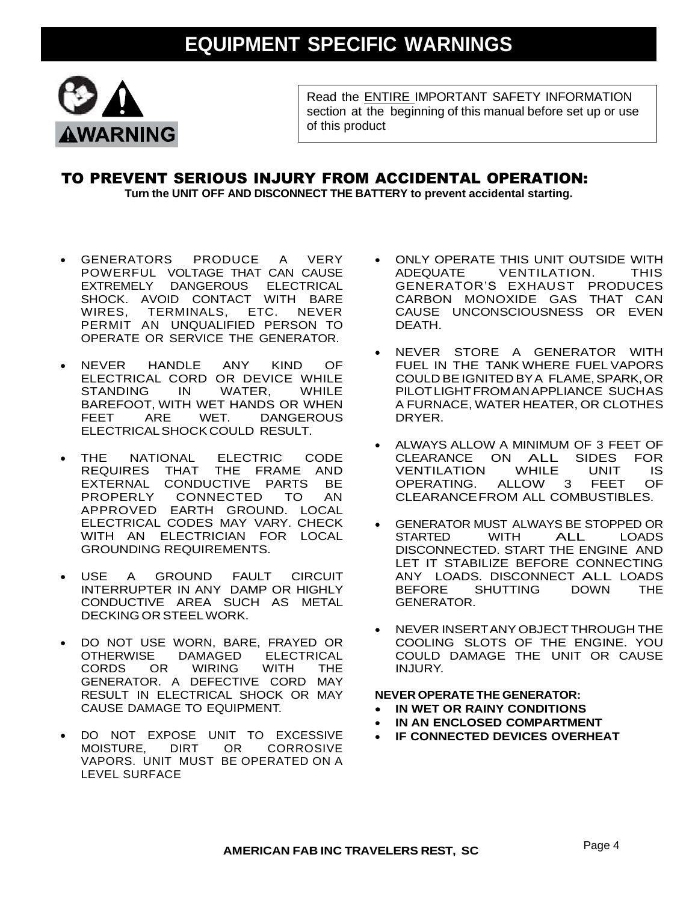

Read the ENTIRE IMPORTANT SAFETY INFORMATION section at the beginning of this manual before set up or use of this product

### TO PREVENT SERIOUS INJURY FROM ACCIDENTAL OPERATION:

**Turn the UNIT OFF AND DISCONNECT THE BATTERY to prevent accidental starting.**

- GENERATORS PRODUCE A VERY POWERFUL VOLTAGE THAT CAN CAUSE EXTREMELY DANGEROUS ELECTRICAL SHOCK. AVOID CONTACT WITH BARE WIRES, TERMINALS, ETC. NEVER PERMIT AN UNQUALIFIED PERSON TO OPERATE OR SERVICE THE GENERATOR.
- NEVER HANDLE ANY KIND OF ELECTRICAL CORD OR DEVICE WHILE<br>STANDING IN WATER, WHILE STANDING IN WATER, WHILE BAREFOOT, WITH WET HANDS OR WHEN FEET ARE WET. DANGEROUS ELECTRICALSHOCK COULD RESULT.
- THE NATIONAL ELECTRIC CODE REQUIRES THAT THE FRAME AND EXTERNAL CONDUCTIVE PARTS BE PROPERLY CONNECTED TO AN APPROVED EARTH GROUND. LOCAL ELECTRICAL CODES MAY VARY. CHECK WITH AN ELECTRICIAN FOR LOCAL GROUNDING REQUIREMENTS.
- USE A GROUND FAULT CIRCUIT INTERRUPTER IN ANY DAMP OR HIGHLY CONDUCTIVE AREA SUCH AS METAL DECKING OR STEELWORK.
- DO NOT USE WORN, BARE, FRAYED OR OTHERWISE DAMAGED ELECTRICAL CORDS OR WIRING WITH THE GENERATOR. A DEFECTIVE CORD MAY RESULT IN ELECTRICAL SHOCK OR MAY CAUSE DAMAGE TO EQUIPMENT.
- DO NOT EXPOSE UNIT TO EXCESSIVE MOISTURE, DIRT OR CORROSIVE VAPORS. UNIT MUST BE OPERATED ON A LEVEL SURFACE
- ONLY OPERATE THIS UNIT OUTSIDE WITH ADEQUATE VENTILATION. THIS GENERATOR'S EXHAUST PRODUCES CARBON MONOXIDE GAS THAT CAN CAUSE UNCONSCIOUSNESS OR EVEN DEATH.
- NEVER STORE A GENERATOR WITH FUEL IN THE TANK WHERE FUEL VAPORS COULD BE IGNITED BY A FLAME, SPARK, OR PILOTLIGHTFROMANAPPLIANCE SUCHAS A FURNACE, WATER HEATER, OR CLOTHES DRYER.
- ALWAYS ALLOW A MINIMUM OF 3 FEET OF CLEARANCE ON ALL SIDES FOR<br>VENTILATION WHILE UNIT IS VENTILATION WHILE UNIT<br>OPERATING. ALLOW 3 FEET OPERATING. ALLOW 3 FEET OF CLEARANCEFROM ALL COMBUSTIBLES.
- GENERATOR MUST ALWAYS BE STOPPED OR STARTED WITH ALL LOADS DISCONNECTED. START THE ENGINE AND LET IT STABILIZE BEFORE CONNECTING ANY LOADS. DISCONNECT ALL LOADS<br>BEFORE SHUTTING DOWN THE SHUTTING GENERATOR.
- **NEVER INSERTANY OBJECT THROUGH THE** COOLING SLOTS OF THE ENGINE. YOU COULD DAMAGE THE UNIT OR CAUSE INJURY.

### **NEVER OPERATE THE GENERATOR:**

- **IN WET OR RAINY CONDITIONS**
- **IN AN ENCLOSED COMPARTMENT**
- **IF CONNECTED DEVICES OVERHEAT**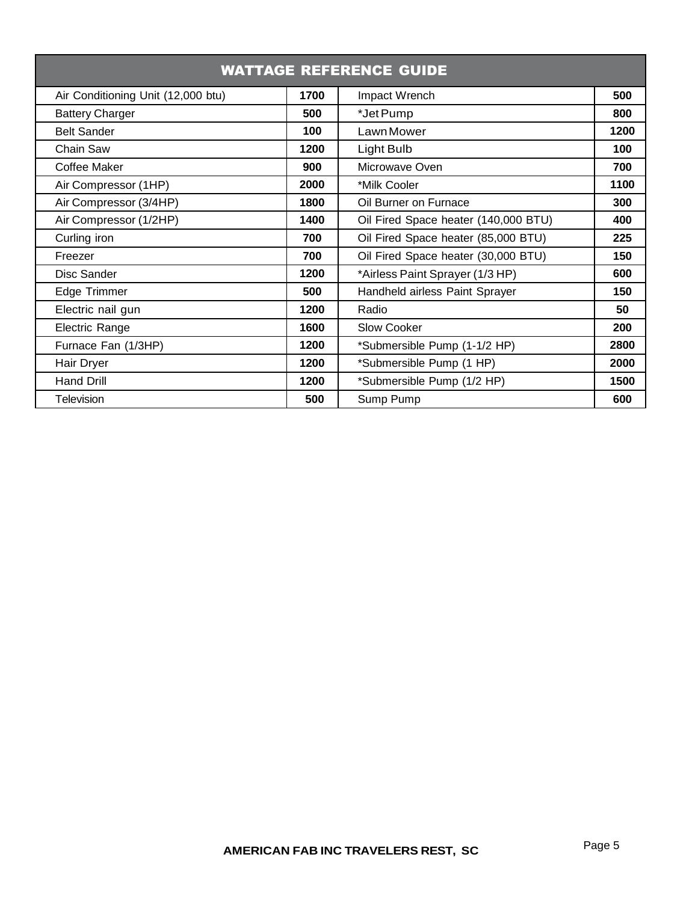| <b>WATTAGE REFERENCE GUIDE</b>     |      |                                      |      |
|------------------------------------|------|--------------------------------------|------|
| Air Conditioning Unit (12,000 btu) | 1700 | Impact Wrench                        | 500  |
| <b>Battery Charger</b>             | 500  | *Jet Pump                            | 800  |
| <b>Belt Sander</b>                 | 100  | Lawn Mower                           | 1200 |
| Chain Saw                          | 1200 | Light Bulb                           | 100  |
| Coffee Maker                       | 900  | Microwave Oven                       | 700  |
| Air Compressor (1HP)               | 2000 | *Milk Cooler                         | 1100 |
| Air Compressor (3/4HP)             | 1800 | Oil Burner on Furnace                | 300  |
| Air Compressor (1/2HP)             | 1400 | Oil Fired Space heater (140,000 BTU) | 400  |
| Curling iron                       | 700  | Oil Fired Space heater (85,000 BTU)  | 225  |
| Freezer                            | 700  | Oil Fired Space heater (30,000 BTU)  | 150  |
| Disc Sander                        | 1200 | *Airless Paint Sprayer (1/3 HP)      | 600  |
| Edge Trimmer                       | 500  | Handheld airless Paint Sprayer       | 150  |
| Electric nail gun                  | 1200 | Radio                                | 50   |
| Electric Range                     | 1600 | Slow Cooker                          | 200  |
| Furnace Fan (1/3HP)                | 1200 | *Submersible Pump (1-1/2 HP)         | 2800 |
| Hair Dryer                         | 1200 | *Submersible Pump (1 HP)             | 2000 |
| <b>Hand Drill</b>                  | 1200 | *Submersible Pump (1/2 HP)           | 1500 |
| Television                         | 500  | Sump Pump                            | 600  |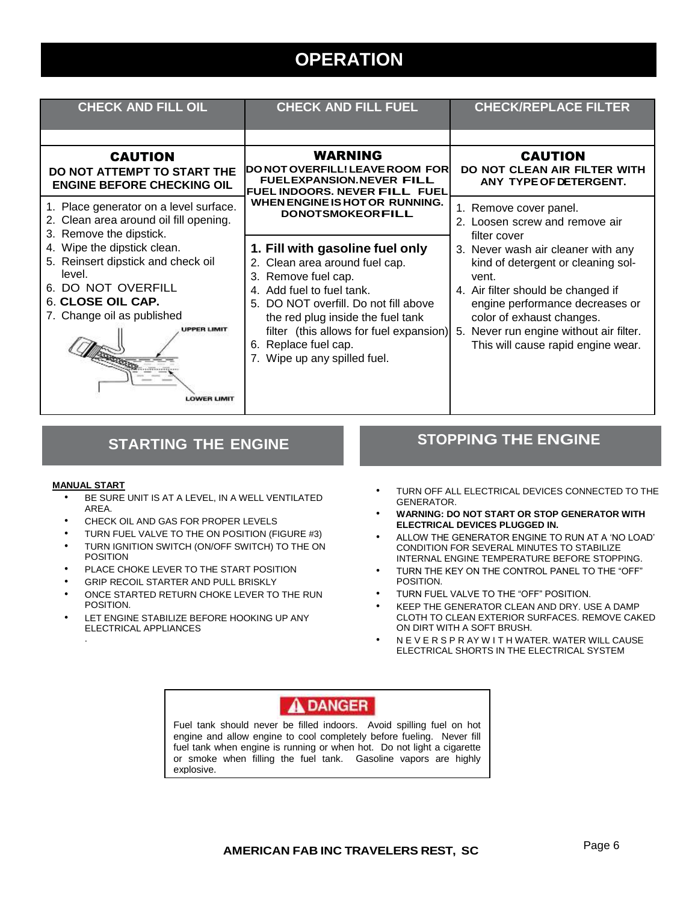# **OPERATION**

| <b>CHECK AND FILL OIL</b>                                                                                                                                                                                                                                                                                | <b>CHECK AND FILL FUEL</b>                                                                                                                                                                                                                                                                                                                                             | <b>CHECK/REPLACE FILTER</b>                                                                                                                                                                                                                                                                                                                       |  |
|----------------------------------------------------------------------------------------------------------------------------------------------------------------------------------------------------------------------------------------------------------------------------------------------------------|------------------------------------------------------------------------------------------------------------------------------------------------------------------------------------------------------------------------------------------------------------------------------------------------------------------------------------------------------------------------|---------------------------------------------------------------------------------------------------------------------------------------------------------------------------------------------------------------------------------------------------------------------------------------------------------------------------------------------------|--|
| <b>CAUTION</b><br>DO NOT ATTEMPT TO START THE<br><b>ENGINE BEFORE CHECKING OIL</b>                                                                                                                                                                                                                       | WARNING<br>DO NOT OVERFILL! LEAVE ROOM FOR<br><b>FUELEXPANSION.NEVER FILL</b><br><b>IFUEL INDOORS. NEVER FILL FUEL</b>                                                                                                                                                                                                                                                 | <b>CAUTION</b><br>DO NOT CLEAN AIR FILTER WITH<br>ANY TYPE OF DETERGENT.                                                                                                                                                                                                                                                                          |  |
| 1. Place generator on a level surface.<br>2. Clean area around oil fill opening.<br>3. Remove the dipstick.<br>4. Wipe the dipstick clean.<br>5. Reinsert dipstick and check oil<br>level.<br>6. DO NOT OVERFILL<br>6. CLOSE OIL CAP.<br>7. Change oil as published<br>UPPER LIMI'<br><b>LOWER LIMIT</b> | WHEN ENGINE IS HOT OR RUNNING.<br><b>DONOTSMOKEORFILL</b><br>1. Fill with gasoline fuel only<br>2. Clean area around fuel cap.<br>3. Remove fuel cap.<br>4. Add fuel to fuel tank.<br>5. DO NOT overfill. Do not fill above<br>the red plug inside the fuel tank<br>filter (this allows for fuel expansion) 5.<br>6. Replace fuel cap.<br>7. Wipe up any spilled fuel. | 1. Remove cover panel.<br>2. Loosen screw and remove air<br>filter cover<br>3. Never wash air cleaner with any<br>kind of detergent or cleaning sol-<br>vent.<br>4. Air filter should be changed if<br>engine performance decreases or<br>color of exhaust changes.<br>Never run engine without air filter.<br>This will cause rapid engine wear. |  |

### **STARTING THE ENGINE**

#### **MANUAL START**

- BE SURE UNIT IS AT A LEVEL, IN A WELL VENTILATED AREA.
- CHECK OIL AND GAS FOR PROPER LEVELS
- TURN FUEL VALVE TO THE ON POSITION (FIGURE #3)
- TURN IGNITION SWITCH (ON/OFF SWITCH) TO THE ON POSITION
- PLACE CHOKE LEVER TO THE START POSITION
- **GRIP RECOIL STARTER AND PULL BRISKLY**
- ONCE STARTED RETURN CHOKE LEVER TO THE RUN POSITION.
- LET ENGINE STABILIZE BEFORE HOOKING UP ANY ELECTRICAL APPLIANCES .

### **STOPPING THE ENGINE**

- TURN OFF ALL ELECTRICAL DEVICES CONNECTED TO THE GENERATOR.
- **WARNING: DO NOT START OR STOP GENERATOR WITH ELECTRICAL DEVICES PLUGGED IN.**
- ALLOW THE GENERATOR ENGINE TO RUN AT A 'NO LOAD' CONDITION FOR SEVERAL MINUTES TO STABILIZE INTERNAL ENGINE TEMPERATURE BEFORE STOPPING.
- TURN THE KEY ON THE CONTROL PANEL TO THE "OFF" POSITION.
- TURN FUEL VALVE TO THE "OFF" POSITION.
- KEEP THE GENERATOR CLEAN AND DRY. USE A DAMP CLOTH TO CLEAN EXTERIOR SURFACES. REMOVE CAKED ON DIRT WITH A SOFT BRUSH.
- N E V E R S P R AY W I T H WATER. WATER WILL CAUSE ELECTRICAL SHORTS IN THE ELECTRICAL SYSTEM

### A DANGER

Fuel tank should never be filled indoors. Avoid spilling fuel on hot engine and allow engine to cool completely before fueling. Never fill fuel tank when engine is running or when hot. Do not light a cigarette or smoke when filling the fuel tank. Gasoline vapors are highly explosive.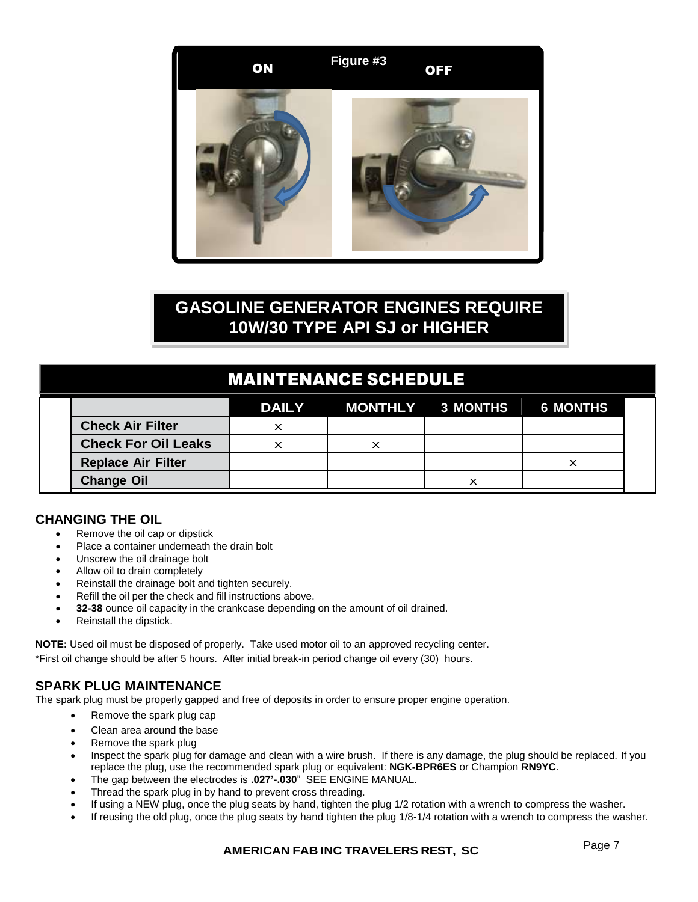

## **GASOLINE GENERATOR ENGINES REQUIRE 10W/30 TYPE API SJ or HIGHER**

# MAINTENANCE SCHEDULE

|                            |   | DAILY MONTHLY 3 MONTHS 6 MONTHS |  |
|----------------------------|---|---------------------------------|--|
| <b>Check Air Filter</b>    | х |                                 |  |
| <b>Check For Oil Leaks</b> |   |                                 |  |
| <b>Replace Air Filter</b>  |   |                                 |  |
| <b>Change Oil</b>          |   |                                 |  |

### **CHANGING THE OIL**

- Remove the oil cap or dipstick
- Place a container underneath the drain bolt
- Unscrew the oil drainage bolt
- Allow oil to drain completely
- Reinstall the drainage bolt and tighten securely.
- Refill the oil per the check and fill instructions above.
- **32-38** ounce oil capacity in the crankcase depending on the amount of oil drained.
- Reinstall the dipstick.

**NOTE:** Used oil must be disposed of properly. Take used motor oil to an approved recycling center.

\*First oil change should be after 5 hours. After initial break-in period change oil every (30) hours.

### **SPARK PLUG MAINTENANCE**

The spark plug must be properly gapped and free of deposits in order to ensure proper engine operation.

- Remove the spark plug cap
- Clean area around the base
- Remove the spark plug
- Inspect the spark plug for damage and clean with a wire brush. If there is any damage, the plug should be replaced. If you replace the plug, use the recommended spark plug or equivalent: **NGK-BPR6ES** or Champion **RN9YC**.
- The gap between the electrodes is **.027'-.030**" SEE ENGINE MANUAL.
- Thread the spark plug in by hand to prevent cross threading.
- If using a NEW plug, once the plug seats by hand, tighten the plug 1/2 rotation with a wrench to compress the washer.
- If reusing the old plug, once the plug seats by hand tighten the plug 1/8-1/4 rotation with a wrench to compress the washer.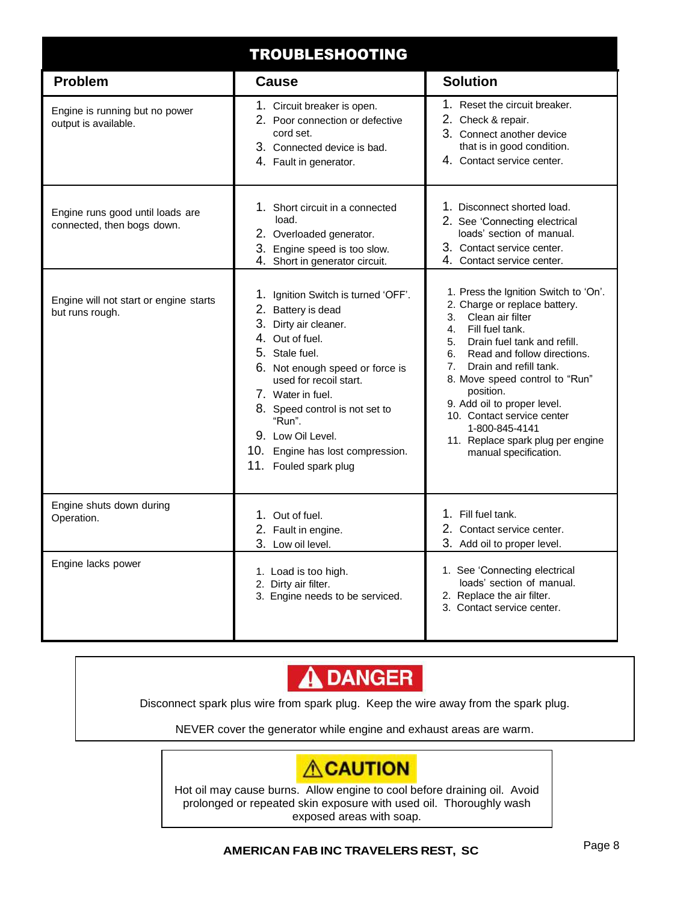| <b>TROUBLESHOOTING</b>                                         |                                                                                                                                                                                                                                                                                                                                         |                                                                                                                                                                                                                                                                                                                                                                                                                                 |  |
|----------------------------------------------------------------|-----------------------------------------------------------------------------------------------------------------------------------------------------------------------------------------------------------------------------------------------------------------------------------------------------------------------------------------|---------------------------------------------------------------------------------------------------------------------------------------------------------------------------------------------------------------------------------------------------------------------------------------------------------------------------------------------------------------------------------------------------------------------------------|--|
| <b>Problem</b>                                                 | <b>Cause</b>                                                                                                                                                                                                                                                                                                                            | <b>Solution</b>                                                                                                                                                                                                                                                                                                                                                                                                                 |  |
| Engine is running but no power<br>output is available.         | 1. Circuit breaker is open.<br>2. Poor connection or defective<br>cord set.<br>3. Connected device is bad.<br>4. Fault in generator.                                                                                                                                                                                                    | 1. Reset the circuit breaker.<br>2. Check & repair.<br>3. Connect another device<br>that is in good condition.<br>4. Contact service center.                                                                                                                                                                                                                                                                                    |  |
| Engine runs good until loads are<br>connected, then bogs down. | 1. Short circuit in a connected<br>load.<br>2. Overloaded generator.<br>3. Engine speed is too slow.<br>4. Short in generator circuit.                                                                                                                                                                                                  | 1. Disconnect shorted load.<br>2. See 'Connecting electrical<br>loads' section of manual.<br>3. Contact service center.<br>4. Contact service center.                                                                                                                                                                                                                                                                           |  |
| Engine will not start or engine starts<br>but runs rough.      | Ignition Switch is turned 'OFF'.<br>2. Battery is dead<br>3.<br>Dirty air cleaner.<br>4. Out of fuel.<br>5. Stale fuel.<br>6. Not enough speed or force is<br>used for recoil start.<br>7. Water in fuel.<br>8. Speed control is not set to<br>"Run".<br>9. Low Oil Level.<br>10. Engine has lost compression.<br>11. Fouled spark plug | 1. Press the Ignition Switch to 'On'.<br>2. Charge or replace battery.<br>Clean air filter<br>3.<br>Fill fuel tank.<br>4.<br>Drain fuel tank and refill.<br>5.<br>Read and follow directions.<br>6.<br>7.<br>Drain and refill tank.<br>8. Move speed control to "Run"<br>position.<br>9. Add oil to proper level.<br>10. Contact service center<br>1-800-845-4141<br>11. Replace spark plug per engine<br>manual specification. |  |
| Engine shuts down during<br>Operation.                         | 1. Out of fuel.<br>2. Fault in engine.<br>3. Low oil level.                                                                                                                                                                                                                                                                             | 1. Fill fuel tank.<br>2. Contact service center.<br>3. Add oil to proper level.                                                                                                                                                                                                                                                                                                                                                 |  |
| Engine lacks power                                             | 1. Load is too high.<br>2. Dirty air filter.<br>3. Engine needs to be serviced.                                                                                                                                                                                                                                                         | 1. See 'Connecting electrical<br>loads' section of manual.<br>2. Replace the air filter.<br>3. Contact service center.                                                                                                                                                                                                                                                                                                          |  |



Disconnect spark plus wire from spark plug. Keep the wire away from the spark plug.

NEVER cover the generator while engine and exhaust areas are warm.

# **ACAUTION**

Hot oil may cause burns. Allow engine to cool before draining oil. Avoid prolonged or repeated skin exposure with used oil. Thoroughly wash exposed areas with soap.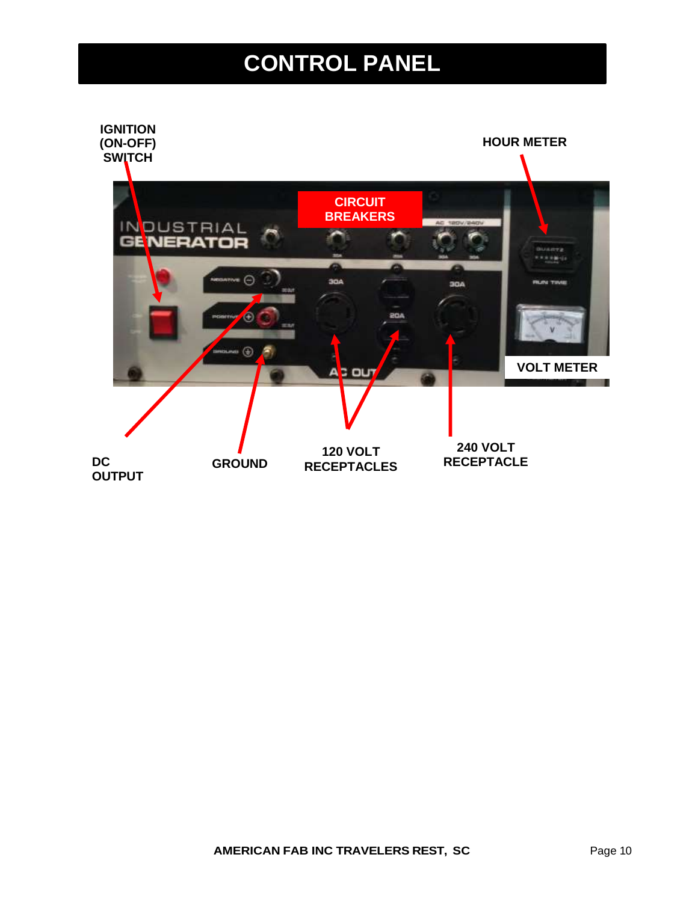# **CONTROL PANEL**